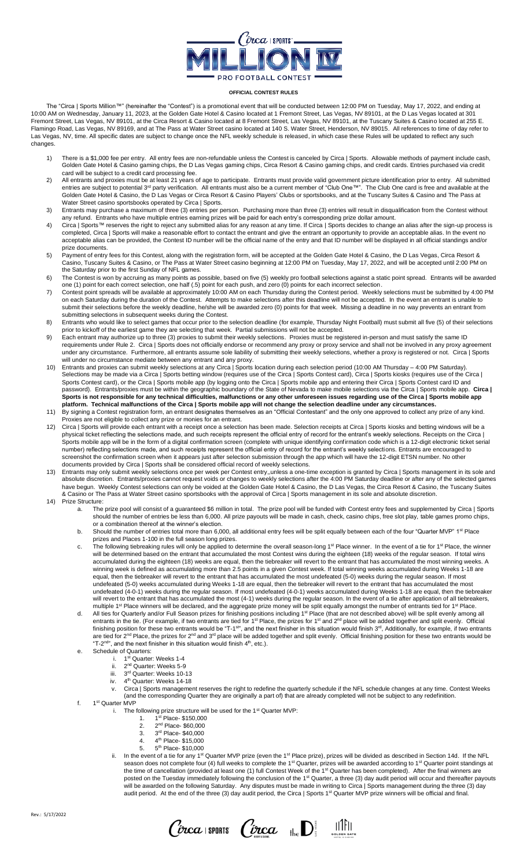

## **OFFICIAL CONTEST RULES**

The "Circa | Sports Million™" (hereinafter the "Contest") is a promotional event that will be conducted between 12:00 PM on Tuesday, May 17, 2022, and ending at 10:00 AM on Wednesday, January 11, 2023, at the Golden Gate Hotel & Casino located at 1 Fremont Street, Las Vegas, NV 89101, at the D Las Vegas located at 301 Fremont Street, Las Vegas, NV 89101, at the Circa Resort & Casino located at 8 Fremont Street, Las Vegas, NV 89101, at the Tuscany Suites & Casino located at 255 E. Flamingo Road, Las Vegas, NV 89169, and at The Pass at Water Street casino located at 140 S. Water Street, Henderson, NV 89015. All references to time of day refer to Las Vegas, NV, time. All specific dates are subject to change once the NFL weekly schedule is released, in which case these Rules will be updated to reflect any such changes.

- 1) There is a \$1,000 fee per entry. All entry fees are non-refundable unless the Contest is canceled by Circa | Sports. Allowable methods of payment include cash, Golden Gate Hotel & Casino gaming chips, the D Las Vegas gaming chips, Circa Resort & Casino gaming chips, and credit cards. Entries purchased via credit card will be subject to a credit card processing fee.
- 2) All entrants and proxies must be at least 21 years of age to participate. Entrants must provide valid government picture identification prior to entry. All submitted entries are subject to potential 3<sup>rd</sup> party verification. All entrants must also be a current member of "Club One™". The Club One card is free and available at the Golden Gate Hotel & Casino, the D Las Vegas or Circa Resort & Casino Players' Clubs or sportsbooks, and at the Tuscany Suites & Casino and The Pass at Water Street casino sportsbooks operated by Circa | Sports.
- 3) Entrants may purchase a maximum of three (3) entries per person. Purchasing more than three (3) entries will result in disqualification from the Contest without any refund. Entrants who have multiple entries earning prizes will be paid for each entry's corresponding prize dollar amount.
- 4) Circa | Sports™ reserves the right to reject any submitted alias for any reason at any time. If Circa | Sports decides to change an alias after the sign-up process is completed, Circa | Sports will make a reasonable effort to contact the entrant and give the entrant an opportunity to provide an acceptable alias. In the event no acceptable alias can be provided, the Contest ID number will be the official name of the entry and that ID number will be displayed in all official standings and/or prize documents.
- 5) Payment of entry fees for this Contest, along with the registration form, will be accepted at the Golden Gate Hotel & Casino, the D Las Vegas, Circa Resort & Casino, Tuscany Suites & Casino, or The Pass at Water Street casino beginning at 12:00 PM on Tuesday, May 17, 2022, and will be accepted until 2:00 PM on the Saturday prior to the first Sunday of NFL games.
- 6) The Contest is won by accruing as many points as possible, based on five (5) weekly pro football selections against a static point spread. Entrants will be awarded one (1) point for each correct selection, one half (.5) point for each push, and zero (0) points for each incorrect selection.
- 7) Contest point spreads will be available at approximately 10:00 AM on each Thursday during the Contest period. Weekly selections must be submitted by 4:00 PM on each Saturday during the duration of the Contest. Attempts to make selections after this deadline will not be accepted. In the event an entrant is unable to submit their selections before the weekly deadline, he/she will be awarded zero (0) points for that week. Missing a deadline in no way prevents an entrant from submitting selections in subsequent weeks during the Contest.
- 8) Entrants who would like to select games that occur prior to the selection deadline (for example, Thursday Night Football) must submit all five (5) of their selections prior to kickoff of the earliest game they are selecting that week. Partial submissions will not be accepted.
- 9) Each entrant may authorize up to three (3) proxies to submit their weekly selections. Proxies must be registered in-person and must satisfy the same ID requirements under Rule 2. Circa | Sports does not officially endorse or recommend any proxy or proxy service and shall not be involved in any proxy agreement under any circumstance. Furthermore, all entrants assume sole liability of submitting their weekly selections, whether a proxy is registered or not. Circa | Sports will under no circumstance mediate between any entrant and any proxy.
- 10) Entrants and proxies can submit weekly selections at any Circa | Sports location during each selection period (10:00 AM Thursday 4:00 PM Saturday). Selections may be made via a Circa | Sports betting window (requires use of the Circa | Sports Contest card), Circa | Sports kiosks (requires use of the Circa | Sports Contest card), or the Circa | Sports mobile app (by logging onto the Circa | Sports mobile app and entering their Circa | Sports Contest card ID and password). Entrants/proxies must be within the geographic boundary of the State of Nevada to make mobile selections via the Circa | Sports mobile app. **Circa | Sports is not responsible for any technical difficulties, malfunctions or any other unforeseen issues regarding use of the Circa | Sports mobile app platform. Technical malfunctions of the Circa | Sports mobile app will not change the selection deadline under any circumstances.**
- 11) By signing a Contest registration form, an entrant designates themselves as an "Official Contestant" and the only one approved to collect any prize of any kind. Proxies are not eligible to collect any prize or monies for an entrant.
- 12) Circa | Sports will provide each entrant with a receipt once a selection has been made. Selection receipts at Circa | Sports kiosks and betting windows will be a physical ticket reflecting the selections made, and such receipts represent the official entry of record for the entrant's weekly selections. Receipts on the Circa | Sports mobile app will be in the form of a digital confirmation screen (complete with unique identifying confirmation code which is a 12-digit electronic ticket serial number) reflecting selections made, and such receipts represent the official entry of record for the entrant's weekly selections. Entrants are encouraged to screenshot the confirmation screen when it appears just after selection submission through the app which will have the 12-digit ETSN number. No other documents provided by Circa | Sports shall be considered official record of weekly selections.
- 13) Entrants may only submit weekly selections once per week per Contest entry,,unless a one-time exception is granted by Circa | Sports management in its sole and absolute discretion. Entrants/proxies cannot request voids or changes to weekly selections after the 4:00 PM Saturday deadline or after any of the selected games have begun. Weekly Contest selections can only be voided at the Golden Gate Hotel & Casino, the D Las Vegas, the Circa Resort & Casino, the Tuscany Suites & Casino or The Pass at Water Street casino sportsbooks with the approval of Circa | Sports management in its sole and absolute discretion.
- 14) Prize Structure:
	- a. The prize pool will consist of a guaranteed \$6 million in total. The prize pool will be funded with Contest entry fees and supplemented by Circa | Sports should the number of entries be less than 6,000. All prize payouts will be made in cash, check, casino chips, free slot play, table games promo chips, or a combination thereof at the winner's election.
	- b. Should the number of entries total more than 6,000, all additional entry fees will be split equally between each of the four "Quarter MVP" 1<sup>st</sup> Place
	- prizes and Places 1-100 in the full season long prizes.<br>c. The following tiebreaking rules will only be applied to determine the overall season-long 1<sup>st</sup> Place winner. In the event of a tie for 1<sup>st</sup> Place, the winner will be determined based on the entrant that accumulated the most Contest wins during the eighteen (18) weeks of the regular season. If total wins accumulated during the eighteen (18) weeks are equal, then the tiebreaker will revert to the entrant that has accumulated the most winning weeks. A winning week is defined as accumulating more than 2.5 points in a given Contest week. If total winning weeks accumulated during Weeks 1-18 are equal, then the tiebreaker will revert to the entrant that has accumulated the most undefeated (5-0) weeks during the regular season. If most undefeated (5-0) weeks accumulated during Weeks 1-18 are equal, then the tiebreaker will revert to the entrant that has accumulated the most undefeated (4-0-1) weeks during the regular season. If most undefeated (4-0-1) weeks accumulated during Weeks 1-18 are equal, then the tiebreaker will revert to the entrant that has accumulated the most (4-1) weeks during the regular season. In the event of a tie after application of all tiebreakers, multiple 1<sup>st</sup> Place winners will be declared, and the aggregate prize money will be split equally amongst the number of entrants tied for 1<sup>st</sup> Place.
	- d. All ties for Quarterly and/or Full Season prizes for finishing positions including 1<sup>st</sup> Place (that are not described above) will be split evenly among all entrants in the tie. (For example, if two entrants are tied for 1<sup>st</sup> Place, the prizes for 1<sup>st</sup> and 2<sup>nd</sup> place will be added together and split evenly. Official finishing position for these two entrants would be "T-1<sup>st</sup>", and the next finisher in this situation would finish 3<sup>rd</sup>, Additionally, for example, if two entrants are tied for 2<sup>nd</sup> Place, the prizes for 2<sup>nd</sup> and 3<sup>rd</sup> place will be added together and split evenly. Official finishing position for these two entrants would be "T-2<sup>nd</sup>", and the next finisher in this situation would finish  $4<sup>th</sup>$ , etc.).
	- e. Schedule of Quarters:<br>i. 1<sup>st</sup> Quarter
		- i. 1st Quarter: Weeks 1-4
		- ii. 2<sup>nd</sup> Quarter: Weeks 5-9
		- iii. 3 3<sup>rd</sup> Quarter: Weeks 10-13
		- iv. 4<sup>th</sup> Quarter: Weeks 14-18
		- v. Circa | Sports management reserves the right to redefine the quarterly schedule if the NFL schedule changes at any time. Contest Weeks (and the corresponding Quarter they are originally a part of) that are already completed will not be subject to any redefinition.
	- f. 1<sup>st</sup> Quarter MVP
		- i. The following prize structure will be used for the 1<sup>st</sup> Quarter MVP: 1. 1 st Place- \$150,000
			- 2. 2<sup>nd</sup> Place- \$60,000
			- 3. 3 rd Place- \$40,000
			- 4. 4<sup>th</sup> Place- \$15,000
			- 5. 5<sup>th</sup> Place- \$10,000
		- ii. In the event of a tie for any 1<sup>st</sup> Quarter MVP prize (even the 1<sup>st</sup> Place prize), prizes will be divided as described in Section 14d. If the NFL season does not complete four (4) full weeks to complete the 1<sup>st</sup> Quarter, prizes will be awarded according to 1<sup>st</sup> Quarter point standings at the time of cancellation (provided at least one (1) full Contest Week of the 1<sup>st</sup> Quarter has been completed). After the final winners are posted on the Tuesday immediately following the conclusion of the 1<sup>st</sup> Quarter, a three (3) day audit period will occur and thereafter payouts will be awarded on the following Saturday. Any disputes must be made in writing to Circa | Sports management during the three (3) day audit period. At the end of the three (3) day audit period, the Circa | Sports 1st Quarter MVP prize winners will be official and final.

 $C$ *p*  $ca$  sports  $C$ *p*  $ca$   $\mathbb{D}$   $\mathbb{R}$   $\mathbb{D}$   $\mathbb{R}$   $\mathbb{R}$   $\mathbb{R}$   $\mathbb{R}$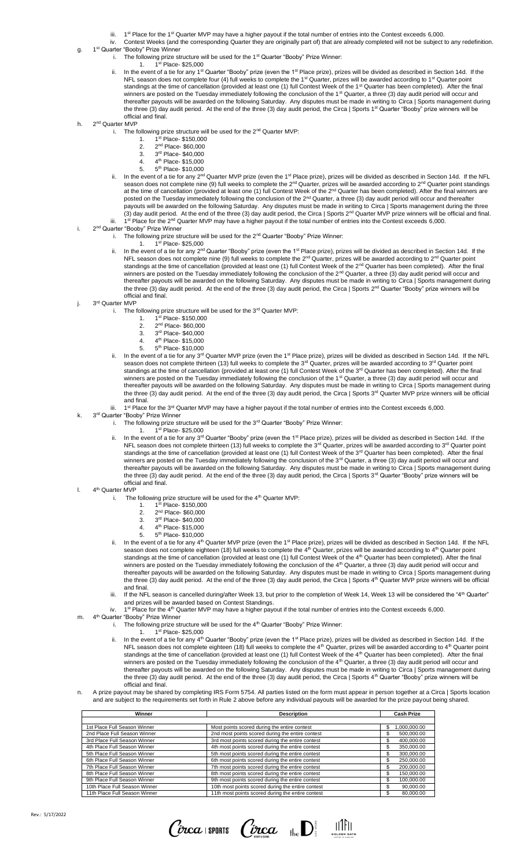- iii.  $1<sup>st</sup> Place for the  $1<sup>st</sup>$  Quarter MVP may have a higher payout if the total number of entries into the Contest exceeds 6,000.$ iv. Contest Weeks (and the corresponding Quarter they are originally part of) that are already completed will not be subject to any redefinition.
- g. 1<sup>st</sup> Quarter "Booby" Prize Winner
	- i. The following prize structure will be used for the 1<sup>st</sup> Quarter "Booby" Prize Winner:
	- 1st Place- \$25,000
	- 1. 1 ii. In the event of a tie for any 1st Quarter "Booby" prize (even the 1st Place prize), prizes will be divided as described in Section 14d. If the NFL season does not complete four (4) full weeks to complete the 1<sup>st</sup> Quarter, prizes will be awarded according to 1<sup>st</sup> Quarter point standings at the time of cancellation (provided at least one (1) full Contest Week of the 1st Quarter has been completed). After the final winners are posted on the Tuesday immediately following the conclusion of the 1<sup>st</sup> Quarter, a three (3) day audit period will occur and thereafter payouts will be awarded on the following Saturday. Any disputes must be made in writing to Circa | Sports management during the three (3) day audit period. At the end of the three (3) day audit period, the Circa | Sports 1<sup>st</sup> Quarter "Booby" prize winners will be official and final.
- h. 2<sup>nd</sup> Quarter MVP
	- i. The following prize structure will be used for the  $2<sup>nd</sup>$  Quarter MVP:
		- $\frac{1}{2}$ st Place- \$150,000
			- 2. 2<sup>nd</sup> Place- \$60,000
			- 3. 3 rd Place- \$40,000
			- 4. 4<sup>th</sup> Place- \$15,000
			- 5. 5<sup>th</sup> Place- \$10,000
	- In the event of a tie for any 2<sup>nd</sup> Quarter MVP prize (even the 1<sup>st</sup> Place prize), prizes will be divided as described in Section 14d. If the NFL season does not complete nine (9) full weeks to complete the 2<sup>nd</sup> Quarter, prizes will be awarded according to 2<sup>nd</sup> Quarter point standings at the time of cancellation (provided at least one (1) full Contest Week of the 2<sup>nd</sup> Quarter has been completed). After the final winners are posted on the Tuesday immediately following the conclusion of the 2<sup>nd</sup> Quarter, a three (3) day audit period will occur and thereafter payouts will be awarded on the following Saturday. Any disputes must be made in writing to Circa | Sports management during the three (3) day audit period. At the end of the three (3) day audit period, the Circa | Sports 2nd Quarter MVP prize winners will be official and final. iii. 1<sup>st</sup> Place for the 2<sup>nd</sup> Quarter MVP may have a higher payout if the total number of entries into the Contest exceeds 6,000.
- i. 2<sup>nd</sup> Quarter "Booby" Prize Winner
	- i. The following prize structure will be used for the 2<sup>nd</sup> Quarter "Booby" Prize Winner:
	- 1. 1 1<sup>st</sup> Place- \$25,000
	- ii. In the event of a tie for any 2<sup>nd</sup> Quarter "Booby" prize (even the 1<sup>st</sup> Place prize), prizes will be divided as described in Section 14d. If the NFL season does not complete nine (9) full weeks to complete the 2<sup>nd</sup> Quarter, prizes will be awarded according to 2<sup>nd</sup> Quarter point standings at the time of cancellation (provided at least one (1) full Contest Week of the  $2^{nd}$  Quarter has been completed). After the final winners are posted on the Tuesday immediately following the conclusion of the 2<sup>nd</sup> Quarter, a three (3) day audit period will occur and thereafter payouts will be awarded on the following Saturday. Any disputes must be made in writing to Circa | Sports management during the three (3) day audit period. At the end of the three (3) day audit period, the Circa | Sports 2<sup>nd</sup> Quarter "Booby" prize winners will be official and final.
- j. 3<sup>rd</sup> Quarter MVP
	- i. The following prize structure will be used for the  $3<sup>rd</sup>$  Quarter MVP:
		- 1. 1 st Place- \$150,000
			- 2. 2<sup>nd</sup> Place- \$60,000
			- 3. 3 rd Place- \$40,000
			- 4. 4 th Place- \$15,000  $5<sup>th</sup>$  Place- \$10,000
	- 5. 5 ii. In the event of a tie for any 3<sup>rd</sup> Quarter MVP prize (even the 1<sup>st</sup> Place prize), prizes will be divided as described in Section 14d. If the NFL season does not complete thirteen (13) full weeks to complete the 3<sup>rd</sup> Quarter, prizes will be awarded according to 3<sup>rd</sup> Quarter point standings at the time of cancellation (provided at least one (1) full Contest Week of the 3<sup>rd</sup> Quarter has been completed). After the final winners are posted on the Tuesday immediately following the conclusion of the 1st Quarter, a three (3) day audit period will occur and thereafter payouts will be awarded on the following Saturday. Any disputes must be made in writing to Circa | Sports management during the three (3) day audit period. At the end of the three (3) day audit period, the Circa | Sports 3<sup>rd</sup> Quarter MVP prize winners will be official and final.
	- iii. 1<sup>st</sup> Place for the 3<sup>rd</sup> Quarter MVP may have a higher payout if the total number of entries into the Contest exceeds 6,000.
- k. 3<sup>rd</sup> Quarter "Booby" Prize Winner
	- i. The following prize structure will be used for the 3<sup>rd</sup> Quarter "Booby" Prize Winner:
		- 1<sup>st</sup> Place- \$25,000
		- 1. 1st Place- \$25,000<br>ii. In the event of a tie for any 3<sup>rd</sup> Quarter "Booby" prize (even the 1<sup>st</sup> Place prize), prizes will be divided as described in Section 14d. If the NFL season does not complete thirteen (13) full weeks to complete the 3<sup>rd</sup> Quarter, prizes will be awarded according to 3<sup>rd</sup> Quarter point standings at the time of cancellation (provided at least one (1) full Contest Week of the 3<sup>rd</sup> Quarter has been completed). After the final winners are posted on the Tuesday immediately following the conclusion of the 3<sup>rd</sup> Quarter, a three (3) day audit period will occur and winners are posted on the Tuesday immediately following the conclusion of the 3<sup>rd</sup> Q thereafter payouts will be awarded on the following Saturday. Any disputes must be made in writing to Circa | Sports management during the three (3) day audit period. At the end of the three (3) day audit period, the Circa | Sports 3<sup>rd</sup> Quarter "Booby" prize winners will be official and final.
- l. 4<sup>th</sup> Quarter MVP
	- i. The following prize structure will be used for the  $4<sup>th</sup>$  Quarter MVP:
		- 1. 1 st Place- \$150,000
		- 2. 2<sup>nd</sup> Place- \$60,000  $\overline{3}$ .
			- 3rd Place- \$40,000
		- 4. 4<sup>th</sup> Place- \$15,000
		- 5. 5<sup>th</sup> Place- \$10,000
	- ii. In the event of a tie for any 4<sup>th</sup> Quarter MVP prize (even the 1<sup>st</sup> Place prize), prizes will be divided as described in Section 14d. If the NFL season does not complete eighteen (18) full weeks to complete the 4<sup>th</sup> Quarter, prizes will be awarded according to 4<sup>th</sup> Quarter point standings at the time of cancellation (provided at least one (1) full Contest Week of the 4<sup>th</sup> Quarter has been completed). After the final winners are posted on the Tuesday immediately following the conclusion of the 4<sup>th</sup> Quarter, a three (3) day audit period will occur and thereafter payouts will be awarded on the following Saturday. Any disputes must be made in writing to Circa | Sports management during the three (3) day audit period. At the end of the three (3) day audit period, the Circa | Sports 4<sup>th</sup> Quarter MVP prize winners will be official and final.
	- If the NFL season is cancelled during/after Week 13, but prior to the completion of Week 14, Week 13 will be considered the "4<sup>th</sup> Quarter" and prizes will be awarded based on Contest Standings.
	- iv. 1<sup>st</sup> Place for the 4<sup>th</sup> Quarter MVP may have a higher payout if the total number of entries into the Contest exceeds 6,000.
- m. 4<sup>th</sup> Quarter "Booby" Prize Winner
	- i. The following prize structure will be used for the  $4<sup>th</sup>$  Quarter "Booby" Prize Winner:
		- 1. 1 st Place- \$25,000 ii. In the event of a tie for any 4<sup>th</sup> Quarter "Booby" prize (even the 1<sup>st</sup> Place prize), prizes will be divided as described in Section 14d. If the NFL season does not complete eighteen (18) full weeks to complete the 4<sup>th</sup> Quarter, prizes will be awarded according to 4<sup>th</sup> Quarter point standings at the time of cancellation (provided at least one (1) full Contest Week of the 4<sup>th</sup> Quarter has been completed). After the final winners are posted on the Tuesday immediately following the conclusion of the 4<sup>th</sup> Quarter, a three (3) day audit period will occur and thereafter payouts will be awarded on the following Saturday. Any disputes must be made in writing to Circa | Sports management during<br>the three (3) day audit period. At the end of the three (3) day audit period, the Cir official and final.
- n. A prize payout may be shared by completing IRS Form 5754. All parties listed on the form must appear in person together at a Circa | Sports location and are subject to the requirements set forth in Rule 2 above before any individual payouts will be awarded for the prize payout being shared.

| Winner                        | <b>Description</b>                                | <b>Cash Prize</b> |
|-------------------------------|---------------------------------------------------|-------------------|
|                               |                                                   |                   |
| 1st Place Full Season Winner  | Most points scored during the entire contest      | 1,000,000.00      |
| 2nd Place Full Season Winner  | 2nd most points scored during the entire contest  | 500,000.00        |
| 3rd Place Full Season Winner  | 3rd most points scored during the entire contest  | 400,000.00        |
| 4th Place Full Season Winner  | 4th most points scored during the entire contest  | 350,000.00        |
| 5th Place Full Season Winner  | 5th most points scored during the entire contest  | 300.000.00        |
| 6th Place Full Season Winner  | 6th most points scored during the entire contest  | 250.000.00        |
| 7th Place Full Season Winner  | 7th most points scored during the entire contest  | 200.000.00        |
| 8th Place Full Season Winner  | 8th most points scored during the entire contest  | 150.000.00        |
| 9th Place Full Season Winner  | 9th most points scored during the entire contest  | 100.000.00        |
| 10th Place Full Season Winner | 10th most points scored during the entire contest | 90.000.00         |
| 11th Place Full Season Winner | 11th most points scored during the entire contest | 80.000.00         |

 $\emph{C}$ *inca* i sports  $\emph{C}$ *inca*  $\emph{C}$   $\emph{C}$   $\emph{C}$   $\emph{C}$   $\emph{C}$   $\emph{C}$   $\emph{C}$   $\emph{C}$   $\emph{C}$   $\emph{C}$   $\emph{C}$   $\emph{C}$   $\emph{C}$   $\emph{C}$   $\emph{C}$   $\emph{C}$   $\emph{C}$   $\emph{C}$   $\emph{C}$   $\emph{C}$   $\$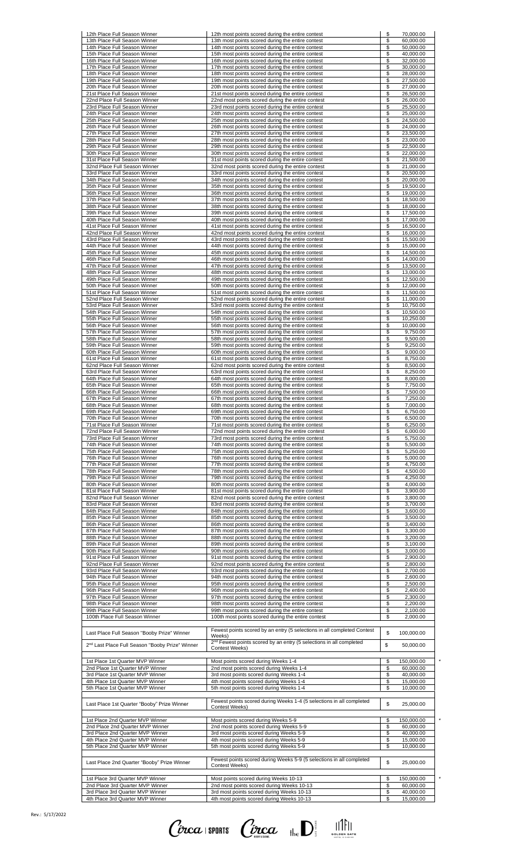| 12th Place Full Season Winner<br>13th Place Full Season Winner                                           | 12th most points scored during the entire contest<br>13th most points scored during the entire contest                          | \$<br>\$       | 70,000.00<br>60,000.00               |
|----------------------------------------------------------------------------------------------------------|---------------------------------------------------------------------------------------------------------------------------------|----------------|--------------------------------------|
| 14th Place Full Season Winner                                                                            | 14th most points scored during the entire contest                                                                               | \$             | 50,000.00                            |
| 15th Place Full Season Winner<br>16th Place Full Season Winner                                           | 15th most points scored during the entire contest<br>16th most points scored during the entire contest                          | \$<br>\$       | 40,000.00<br>32,000.00               |
| 17th Place Full Season Winner                                                                            | 17th most points scored during the entire contest                                                                               | \$             | 30,000.00                            |
| 18th Place Full Season Winner<br>19th Place Full Season Winner                                           | 18th most points scored during the entire contest<br>19th most points scored during the entire contest                          | \$<br>\$       | 28,000.00<br>27,500.00               |
| 20th Place Full Season Winner                                                                            | 20th most points scored during the entire contest                                                                               | \$             | 27,000.00                            |
| 21st Place Full Season Winner                                                                            | 21st most points scored during the entire contest                                                                               | \$             | 26,500.00                            |
| 22nd Place Full Season Winner<br>23rd Place Full Season Winner                                           | 22nd most points scored during the entire contest<br>23rd most points scored during the entire contest                          | \$<br>\$       | 26,000.00<br>25,500.00               |
| 24th Place Full Season Winner                                                                            | 24th most points scored during the entire contest                                                                               | \$             | 25.000.00                            |
| 25th Place Full Season Winner<br>26th Place Full Season Winner                                           | 25th most points scored during the entire contest                                                                               | \$<br>\$       | 24,500.00<br>24,000.00               |
| 27th Place Full Season Winner                                                                            | 26th most points scored during the entire contest<br>27th most points scored during the entire contest                          | \$             | 23.500.00                            |
| 28th Place Full Season Winner                                                                            | 28th most points scored during the entire contest                                                                               | \$             | 23,000.00                            |
| 29th Place Full Season Winner<br>30th Place Full Season Winner                                           | 29th most points scored during the entire contest<br>30th most points scored during the entire contest                          | \$<br>\$       | 22,500.00<br>22,000.00               |
| 31st Place Full Season Winner                                                                            | 31st most points scored during the entire contest                                                                               | \$             | 21,500.00                            |
| 32nd Place Full Season Winner                                                                            | 32nd most points scored during the entire contest                                                                               | \$             | 21,000.00                            |
| 33rd Place Full Season Winner<br>34th Place Full Season Winner                                           | 33rd most points scored during the entire contest<br>34th most points scored during the entire contest                          | \$<br>\$       | 20,500.00<br>20,000.00               |
| 35th Place Full Season Winner                                                                            | 35th most points scored during the entire contest                                                                               | \$             | 19,500.00                            |
| 36th Place Full Season Winner<br>37th Place Full Season Winner                                           | 36th most points scored during the entire contest<br>37th most points scored during the entire contest                          | \$<br>\$       | 19,000.00<br>18,500.00               |
| 38th Place Full Season Winner                                                                            | 38th most points scored during the entire contest                                                                               | \$             | 18,000.00                            |
| 39th Place Full Season Winner                                                                            | 39th most points scored during the entire contest                                                                               | \$             | 17,500.00                            |
| 40th Place Full Season Winner<br>41st Place Full Season Winner                                           | 40th most points scored during the entire contest<br>41st most points scored during the entire contest                          | \$<br>\$       | 17,000.00<br>16,500.00               |
| 42nd Place Full Season Winner                                                                            | 42nd most points scored during the entire contest                                                                               | \$             | 16,000.00                            |
| 43rd Place Full Season Winner                                                                            | 43rd most points scored during the entire contest                                                                               | \$             | 15,500.00                            |
| 44th Place Full Season Winner<br>45th Place Full Season Winner                                           | 44th most points scored during the entire contest<br>45th most points scored during the entire contest                          | \$<br>\$       | 15,000.00<br>14,500.00               |
| 46th Place Full Season Winner                                                                            | 46th most points scored during the entire contest                                                                               | \$             | 14.000.00                            |
| 47th Place Full Season Winner<br>48th Place Full Season Winner                                           | 47th most points scored during the entire contest<br>48th most points scored during the entire contest                          | \$<br>\$       | 13,500.00<br>13,000.00               |
| 49th Place Full Season Winner                                                                            | 49th most points scored during the entire contest                                                                               | \$             | 12,500.00                            |
| 50th Place Full Season Winner                                                                            | 50th most points scored during the entire contest                                                                               | \$             | 12,000.00                            |
| 51st Place Full Season Winner<br>52nd Place Full Season Winner                                           | 51st most points scored during the entire contest<br>52nd most points scored during the entire contest                          | \$<br>\$       | 11,500.00<br>11,000.00               |
| 53rd Place Full Season Winner                                                                            | 53rd most points scored during the entire contest                                                                               | \$             | 10,750.00                            |
| 54th Place Full Season Winner<br>55th Place Full Season Winner                                           | 54th most points scored during the entire contest<br>55th most points scored during the entire contest                          | \$<br>\$       | 10,500.00<br>10,250.00               |
| 56th Place Full Season Winner                                                                            | 56th most points scored during the entire contest                                                                               | \$             | 10,000.00                            |
| 57th Place Full Season Winner                                                                            | 57th most points scored during the entire contest                                                                               | \$             | 9,750.00                             |
| 58th Place Full Season Winner<br>59th Place Full Season Winner                                           | 58th most points scored during the entire contest<br>59th most points scored during the entire contest                          | \$<br>\$       | 9,500.00<br>9,250.00                 |
| 60th Place Full Season Winner                                                                            | 60th most points scored during the entire contest                                                                               | \$             | 9,000.00                             |
| 61st Place Full Season Winner<br>62nd Place Full Season Winner                                           | 61st most points scored during the entire contest<br>62nd most points scored during the entire contest                          | \$<br>\$       | 8,750.00<br>8,500.00                 |
| 63rd Place Full Season Winner                                                                            | 63rd most points scored during the entire contest                                                                               | \$             | 8,250.00                             |
| 64th Place Full Season Winner                                                                            | 64th most points scored during the entire contest                                                                               | \$             | 8,000.00                             |
| 65th Place Full Season Winner<br>66th Place Full Season Winner                                           | 65th most points scored during the entire contest<br>66th most points scored during the entire contest                          | \$<br>\$       | 7.750.00<br>7,500.00                 |
| 67th Place Full Season Winner                                                                            | 67th most points scored during the entire contest                                                                               | \$             | 7,250.00                             |
| 68th Place Full Season Winner<br>69th Place Full Season Winner                                           | 68th most points scored during the entire contest<br>69th most points scored during the entire contest                          | \$             | 7,000.00                             |
| 70th Place Full Season Winner                                                                            | 70th most points scored during the entire contest                                                                               | \$<br>\$       | 6,750.00<br>6,500.00                 |
| 71st Place Full Season Winner                                                                            | 71st most points scored during the entire contest                                                                               | \$             | 6.250.00                             |
| 72nd Place Full Season Winner<br>73rd Place Full Season Winner                                           | 72nd most points scored during the entire contest<br>73rd most points scored during the entire contest                          | \$<br>\$       | 6.000.00<br>5,750.00                 |
| 74th Place Full Season Winner                                                                            | 74th most points scored during the entire contest                                                                               | \$             | 5,500.00                             |
| 75th Place Full Season Winner                                                                            | 75th most points scored during the entire contest                                                                               | \$             | 5,250.00                             |
| 76th Place Full Season Winner<br>77th Place Full Season Winner                                           | 76th most points scored during the entire contest<br>77th most points scored during the entire contest                          | \$<br>\$       | 5,000.00<br>4,750.00                 |
| 78th Place Full Season Winner                                                                            | 78th most points scored during the entire contest                                                                               | \$             | 4,500.00                             |
| 79th Place Full Season Winner<br>80th Place Full Season Winner                                           | 79th most points scored during the entire contest<br>80th most points scored during the entire contest                          | \$<br>\$       | 4,250.00<br>4,000.00                 |
| 81st Place Full Season Winner                                                                            | 81st most points scored during the entire contest                                                                               | \$             | 3,900.00                             |
| 82nd Place Full Season Winner                                                                            | 82nd most points scored during the entire contest                                                                               | \$             | 3,800.00                             |
| 83rd Place Full Season Winner<br>84th Place Full Season Winner                                           | 83rd most points scored during the entire contest<br>84th most points scored during the entire contest                          | \$<br>\$       | 3,700.00<br>3,600.00                 |
| 85th Place Full Season Winner                                                                            | 85th most points scored during the entire contest                                                                               | \$             | 3,500.00                             |
| 86th Place Full Season Winner<br>87th Place Full Season Winner                                           | 86th most points scored during the entire contest<br>87th most points scored during the entire contest                          | \$<br>\$       | 3,400.00<br>3,300.00                 |
| 88th Place Full Season Winner                                                                            | 88th most points scored during the entire contest                                                                               | \$             | 3,200.00                             |
| 89th Place Full Season Winner                                                                            | 89th most points scored during the entire contest                                                                               | \$             | 3,100.00                             |
| 90th Place Full Season Winner<br>91st Place Full Season Winner                                           | 90th most points scored during the entire contest<br>91st most points scored during the entire contest                          | \$<br>\$       | 3,000.00<br>2,900.00                 |
| 92nd Place Full Season Winner                                                                            | 92nd most points scored during the entire contest                                                                               | \$             | 2,800.00                             |
| 93rd Place Full Season Winner<br>94th Place Full Season Winner                                           | 93rd most points scored during the entire contest<br>94th most points scored during the entire contest                          | \$<br>\$       | 2,700.00<br>2,600.00                 |
| 95th Place Full Season Winner                                                                            | 95th most points scored during the entire contest                                                                               | \$             | 2,500.00                             |
| 96th Place Full Season Winner                                                                            | 96th most points scored during the entire contest                                                                               | \$             | 2,400.00                             |
| 97th Place Full Season Winner<br>98th Place Full Season Winner                                           | 97th most points scored during the entire contest<br>98th most points scored during the entire contest                          | \$<br>\$       | 2,300.00<br>2,200.00                 |
| 99th Place Full Season Winner                                                                            | 99th most points scored during the entire contest                                                                               | \$             | 2,100.00                             |
| 100th Place Full Season Winner                                                                           | 100th most points scored during the entire contest                                                                              | \$             | 2,000.00                             |
|                                                                                                          | Fewest points scored by an entry (5 selections in all completed Contest                                                         | \$             |                                      |
| Last Place Full Season "Booby Prize" Winner                                                              | Weeks)                                                                                                                          |                | 100,000.00                           |
| 2 <sup>nd</sup> Last Place Full Season "Booby Prize" Winner                                              | 2 <sup>nd</sup> Fewest points scored by an entry (5 selections in all completed<br><b>Contest Weeks)</b>                        | \$             | 50,000.00                            |
| 1st Place 1st Quarter MVP Winner<br>2nd Place 1st Quarter MVP Winner                                     | Most points scored during Weeks 1-4                                                                                             | \$             | 150,000.00                           |
| 3rd Place 1st Quarter MVP Winner                                                                         | 2nd most points scored during Weeks 1-4<br>3rd most points scored during Weeks 1-4                                              | \$<br>\$       | 60,000.00<br>40,000.00               |
| 4th Place 1st Quarter MVP Winner                                                                         | 4th most points scored during Weeks 1-4                                                                                         | \$             | 15,000.00                            |
| 5th Place 1st Quarter MVP Winner                                                                         | 5th most points scored during Weeks 1-4<br>Fewest points scored during Weeks 1-4 (5 selections in all completed                 | \$             | 10.000.00                            |
| Last Place 1st Quarter "Booby" Prize Winner                                                              | Contest Weeks)                                                                                                                  | \$             | 25,000.00                            |
| 1st Place 2nd Quarter MVP Winner<br>2nd Place 2nd Quarter MVP Winner                                     | Most points scored during Weeks 5-9<br>2nd most points scored during Weeks 5-9                                                  | \$<br>\$       | 150,000.00<br>60,000.00              |
| 3rd Place 2nd Quarter MVP Winner                                                                         | 3rd most points scored during Weeks 5-9                                                                                         | \$             | 40,000.00                            |
| 4th Place 2nd Quarter MVP Winner                                                                         | 4th most points scored during Weeks 5-9                                                                                         | \$             | 15.000.00                            |
|                                                                                                          | 5th most points scored during Weeks 5-9                                                                                         | \$             | 10,000.00                            |
| 5th Place 2nd Quarter MVP Winner                                                                         |                                                                                                                                 |                |                                      |
| Last Place 2nd Quarter "Booby" Prize Winner                                                              | Fewest points scored during Weeks 5-9 (5 selections in all completed<br>Contest Weeks)                                          | \$             | 25,000.00                            |
|                                                                                                          |                                                                                                                                 |                |                                      |
| 1st Place 3rd Quarter MVP Winner<br>2nd Place 3rd Quarter MVP Winner<br>3rd Place 3rd Quarter MVP Winner | Most points scored during Weeks 10-13<br>2nd most points scored during Weeks 10-13<br>3rd most points scored during Weeks 10-13 | \$<br>\$<br>\$ | 150,000.00<br>60,000.00<br>40,000.00 |